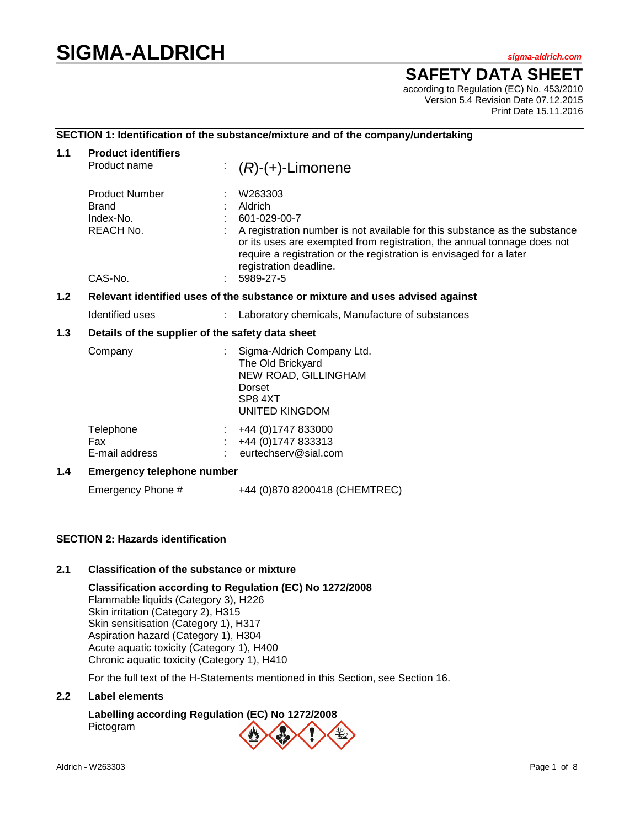# **SIGMA-ALDRICH** *sigma-aldrich.com*

**SAFETY DATA SHEET**

according to Regulation (EC) No. 453/2010 Version 5.4 Revision Date 07.12.2015 Print Date 15.11.2016

# **SECTION 1: Identification of the substance/mixture and of the company/undertaking**

| 1.1 | <b>Product identifiers</b><br>Product name                                    | ÷.<br>$(R)-(+)$ -Limonene                                                                                                                                                                                                                                                                    |  |  |
|-----|-------------------------------------------------------------------------------|----------------------------------------------------------------------------------------------------------------------------------------------------------------------------------------------------------------------------------------------------------------------------------------------|--|--|
|     | <b>Product Number</b><br><b>Brand</b><br>Index-No.<br>REACH No.               | W263303<br>Aldrich<br>601-029-00-7<br>A registration number is not available for this substance as the substance<br>or its uses are exempted from registration, the annual tonnage does not<br>require a registration or the registration is envisaged for a later<br>registration deadline. |  |  |
|     | CAS-No.                                                                       | 5989-27-5                                                                                                                                                                                                                                                                                    |  |  |
| 1.2 | Relevant identified uses of the substance or mixture and uses advised against |                                                                                                                                                                                                                                                                                              |  |  |
|     | Identified uses                                                               | Laboratory chemicals, Manufacture of substances<br>$\mathbb{R}^n$                                                                                                                                                                                                                            |  |  |
| 1.3 | Details of the supplier of the safety data sheet                              |                                                                                                                                                                                                                                                                                              |  |  |
|     | Company                                                                       | Sigma-Aldrich Company Ltd.<br>The Old Brickyard<br>NEW ROAD, GILLINGHAM<br>Dorset<br>SP8 4XT<br><b>UNITED KINGDOM</b>                                                                                                                                                                        |  |  |
|     | Telephone<br>Fax<br>E-mail address                                            | +44 (0)1747 833000<br>+44 (0) 1747 833313<br>eurtechserv@sial.com                                                                                                                                                                                                                            |  |  |
| 1.4 | <b>Emergency telephone number</b>                                             |                                                                                                                                                                                                                                                                                              |  |  |
|     | Emergency Phone #                                                             | +44 (0)870 8200418 (CHEMTREC)                                                                                                                                                                                                                                                                |  |  |

# **SECTION 2: Hazards identification**

# **2.1 Classification of the substance or mixture**

**Classification according to Regulation (EC) No 1272/2008** Flammable liquids (Category 3), H226 Skin irritation (Category 2), H315 Skin sensitisation (Category 1), H317 Aspiration hazard (Category 1), H304 Acute aquatic toxicity (Category 1), H400 Chronic aquatic toxicity (Category 1), H410

For the full text of the H-Statements mentioned in this Section, see Section 16.

# **2.2 Label elements**

**Labelling according Regulation (EC) No 1272/2008** Pictogram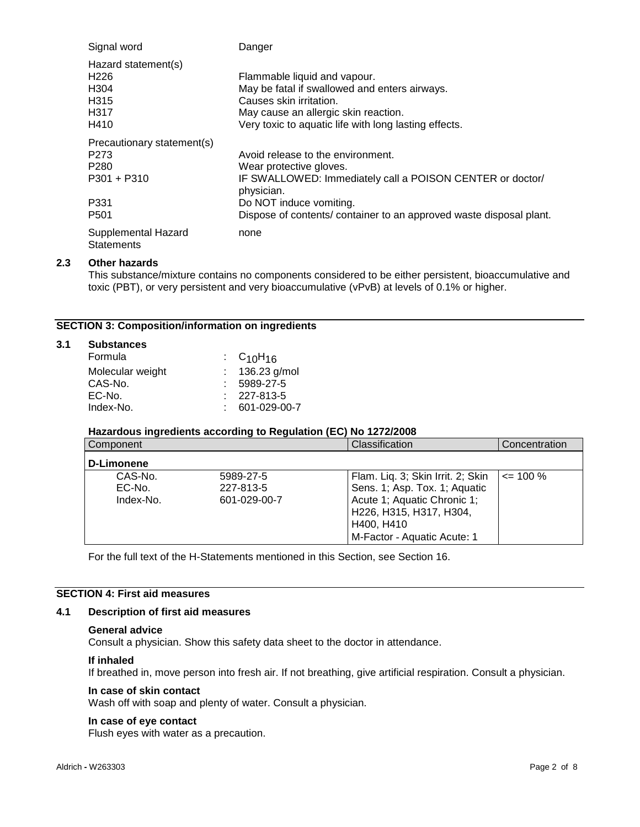| Signal word                              | Danger                                                                  |
|------------------------------------------|-------------------------------------------------------------------------|
| Hazard statement(s)                      |                                                                         |
| H <sub>226</sub>                         | Flammable liquid and vapour.                                            |
| H <sub>304</sub>                         | May be fatal if swallowed and enters airways.                           |
| H <sub>315</sub>                         | Causes skin irritation.                                                 |
| H317                                     | May cause an allergic skin reaction.                                    |
| H410                                     | Very toxic to aquatic life with long lasting effects.                   |
| Precautionary statement(s)               |                                                                         |
| P273                                     | Avoid release to the environment.                                       |
| P <sub>280</sub>                         | Wear protective gloves.                                                 |
| P301 + P310                              | IF SWALLOWED: Immediately call a POISON CENTER or doctor/<br>physician. |
| P331                                     | Do NOT induce vomiting.                                                 |
| P <sub>501</sub>                         | Dispose of contents/ container to an approved waste disposal plant.     |
| Supplemental Hazard<br><b>Statements</b> | none                                                                    |

# **2.3 Other hazards**

**3.1 Substances**

This substance/mixture contains no components considered to be either persistent, bioaccumulative and toxic (PBT), or very persistent and very bioaccumulative (vPvB) at levels of 0.1% or higher.

# **SECTION 3: Composition/information on ingredients**

| <b>Substances</b> |                   |  |
|-------------------|-------------------|--|
| Formula           | : $C_{10}H_{16}$  |  |
| Molecular weight  | : $136.23$ g/mol  |  |
| CAS-No.           | 5989-27-5         |  |
| EC-No.            | $: 227 - 813 - 5$ |  |
| Index-No.         | 601-029-00-7      |  |

# **Hazardous ingredients according to Regulation (EC) No 1272/2008**

| Component                      |                                        | Classification                                                                                                               | Concentration |
|--------------------------------|----------------------------------------|------------------------------------------------------------------------------------------------------------------------------|---------------|
| D-Limonene                     |                                        |                                                                                                                              |               |
| CAS-No.<br>EC-No.<br>Index-No. | 5989-27-5<br>227-813-5<br>601-029-00-7 | Flam. Liq. 3; Skin Irrit. 2; Skin<br>Sens. 1; Asp. Tox. 1; Aquatic<br>Acute 1; Aquatic Chronic 1;<br>H226, H315, H317, H304, | $\leq$ 100 %  |
|                                |                                        | H400, H410<br>M-Factor - Aquatic Acute: 1                                                                                    |               |

For the full text of the H-Statements mentioned in this Section, see Section 16.

# **SECTION 4: First aid measures**

#### **4.1 Description of first aid measures**

# **General advice**

Consult a physician. Show this safety data sheet to the doctor in attendance.

#### **If inhaled**

If breathed in, move person into fresh air. If not breathing, give artificial respiration. Consult a physician.

# **In case of skin contact**

Wash off with soap and plenty of water. Consult a physician.

#### **In case of eye contact**

Flush eyes with water as a precaution.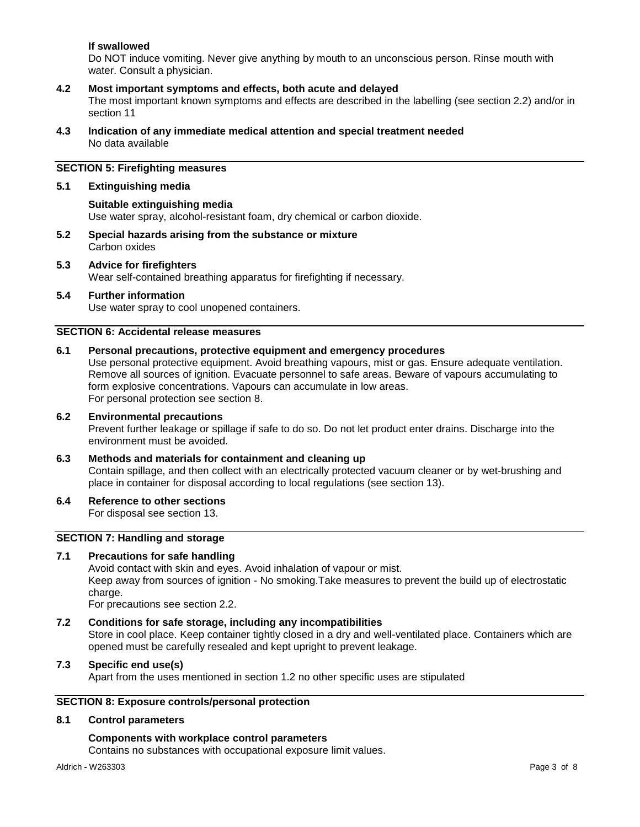# **If swallowed**

Do NOT induce vomiting. Never give anything by mouth to an unconscious person. Rinse mouth with water. Consult a physician.

# **4.2 Most important symptoms and effects, both acute and delayed**

The most important known symptoms and effects are described in the labelling (see section 2.2) and/or in section 11

**4.3 Indication of any immediate medical attention and special treatment needed** No data available

# **SECTION 5: Firefighting measures**

#### **5.1 Extinguishing media**

### **Suitable extinguishing media**

Use water spray, alcohol-resistant foam, dry chemical or carbon dioxide.

- **5.2 Special hazards arising from the substance or mixture** Carbon oxides
- **5.3 Advice for firefighters** Wear self-contained breathing apparatus for firefighting if necessary.

# **5.4 Further information**

Use water spray to cool unopened containers.

# **SECTION 6: Accidental release measures**

#### **6.1 Personal precautions, protective equipment and emergency procedures**

Use personal protective equipment. Avoid breathing vapours, mist or gas. Ensure adequate ventilation. Remove all sources of ignition. Evacuate personnel to safe areas. Beware of vapours accumulating to form explosive concentrations. Vapours can accumulate in low areas. For personal protection see section 8.

# **6.2 Environmental precautions** Prevent further leakage or spillage if safe to do so. Do not let product enter drains. Discharge into the environment must be avoided.

# **6.3 Methods and materials for containment and cleaning up** Contain spillage, and then collect with an electrically protected vacuum cleaner or by wet-brushing and place in container for disposal according to local regulations (see section 13).

# **6.4 Reference to other sections**

For disposal see section 13.

# **SECTION 7: Handling and storage**

# **7.1 Precautions for safe handling**

Avoid contact with skin and eyes. Avoid inhalation of vapour or mist. Keep away from sources of ignition - No smoking.Take measures to prevent the build up of electrostatic charge.

For precautions see section 2.2.

# **7.2 Conditions for safe storage, including any incompatibilities** Store in cool place. Keep container tightly closed in a dry and well-ventilated place. Containers which are opened must be carefully resealed and kept upright to prevent leakage.

# **7.3 Specific end use(s)**

Apart from the uses mentioned in section 1.2 no other specific uses are stipulated

# **SECTION 8: Exposure controls/personal protection**

#### **8.1 Control parameters**

# **Components with workplace control parameters**

Contains no substances with occupational exposure limit values.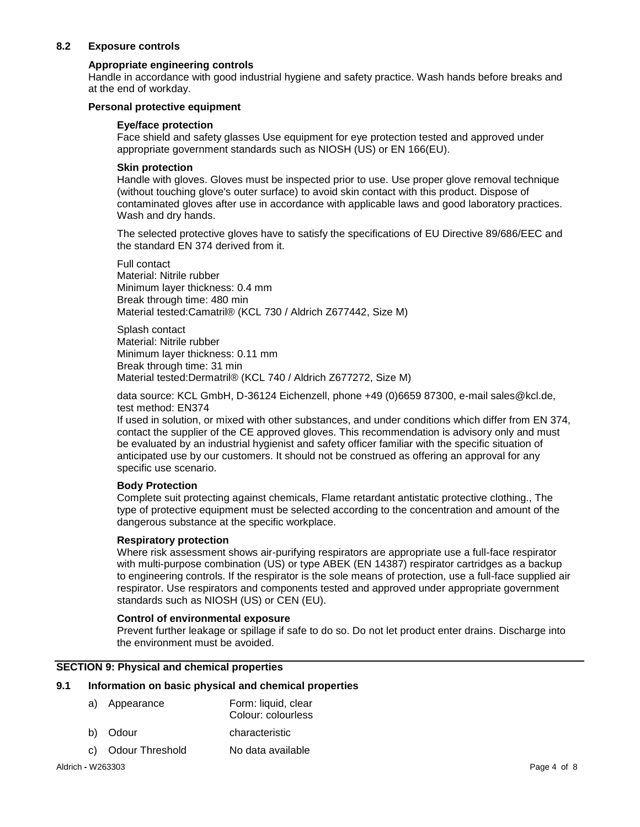# **8.2 Exposure controls**

# **Appropriate engineering controls**

Handle in accordance with good industrial hygiene and safety practice. Wash hands before breaks and at the end of workday.

### **Personal protective equipment**

#### **Eye/face protection**

Face shield and safety glasses Use equipment for eye protection tested and approved under appropriate government standards such as NIOSH (US) or EN 166(EU).

### **Skin protection**

Handle with gloves. Gloves must be inspected prior to use. Use proper glove removal technique (without touching glove's outer surface) to avoid skin contact with this product. Dispose of contaminated gloves after use in accordance with applicable laws and good laboratory practices. Wash and dry hands.

The selected protective gloves have to satisfy the specifications of EU Directive 89/686/EEC and the standard EN 374 derived from it.

Full contact Material: Nitrile rubber Minimum layer thickness: 0.4 mm Break through time: 480 min Material tested:Camatril® (KCL 730 / Aldrich Z677442, Size M)

Splash contact Material: Nitrile rubber Minimum layer thickness: 0.11 mm Break through time: 31 min Material tested:Dermatril® (KCL 740 / Aldrich Z677272, Size M)

data source: KCL GmbH, D-36124 Eichenzell, phone +49 (0)6659 87300, e-mail sales@kcl.de, test method: EN374

If used in solution, or mixed with other substances, and under conditions which differ from EN 374, contact the supplier of the CE approved gloves. This recommendation is advisory only and must be evaluated by an industrial hygienist and safety officer familiar with the specific situation of anticipated use by our customers. It should not be construed as offering an approval for any specific use scenario.

# **Body Protection**

Complete suit protecting against chemicals, Flame retardant antistatic protective clothing., The type of protective equipment must be selected according to the concentration and amount of the dangerous substance at the specific workplace.

# **Respiratory protection**

Where risk assessment shows air-purifying respirators are appropriate use a full-face respirator with multi-purpose combination (US) or type ABEK (EN 14387) respirator cartridges as a backup to engineering controls. If the respirator is the sole means of protection, use a full-face supplied air respirator. Use respirators and components tested and approved under appropriate government standards such as NIOSH (US) or CEN (EU).

#### **Control of environmental exposure**

Prevent further leakage or spillage if safe to do so. Do not let product enter drains. Discharge into the environment must be avoided.

# **SECTION 9: Physical and chemical properties**

#### **9.1 Information on basic physical and chemical properties**

| a) Appearance | Form: liquid, clear |
|---------------|---------------------|
|               | Colour: colourless  |

- b) Odour characteristic
- c) Odour Threshold No data available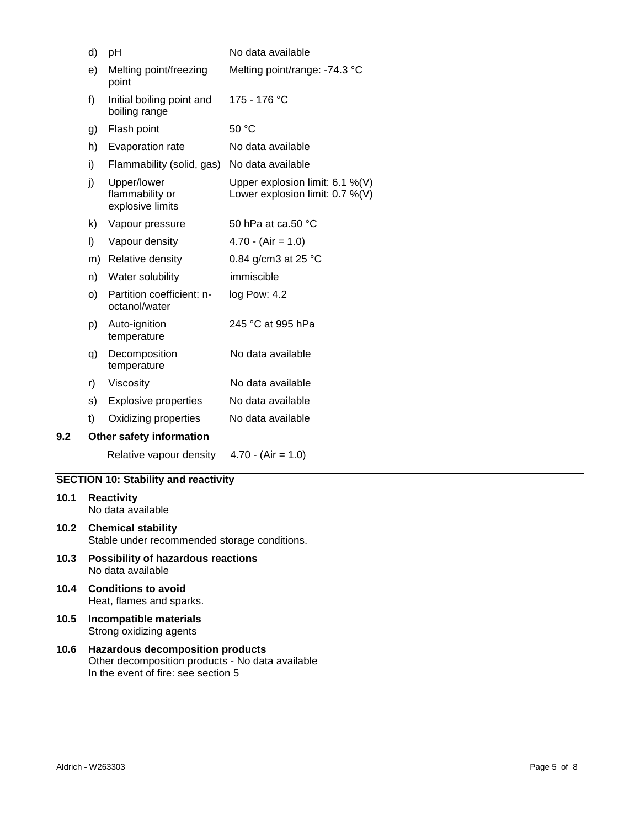| d)  |    | рH                                                 | No data available                                                  |
|-----|----|----------------------------------------------------|--------------------------------------------------------------------|
| e)  |    | Melting point/freezing<br>point                    | Melting point/range: -74.3 °C                                      |
| f)  |    | Initial boiling point and<br>boiling range         | 175 - 176 °C                                                       |
|     | g) | Flash point                                        | 50 °C                                                              |
| h)  |    | Evaporation rate                                   | No data available                                                  |
| i)  |    | Flammability (solid, gas)                          | No data available                                                  |
| j)  |    | Upper/lower<br>flammability or<br>explosive limits | Upper explosion limit: 6.1 %(V)<br>Lower explosion limit: 0.7 %(V) |
| k)  |    | Vapour pressure                                    | 50 hPa at ca.50 °C                                                 |
| I)  |    | Vapour density                                     | $4.70 - (Air = 1.0)$                                               |
|     | m) | Relative density                                   | 0.84 g/cm3 at 25 $^{\circ}$ C                                      |
| n)  |    | Water solubility                                   | immiscible                                                         |
| O)  |    | Partition coefficient: n-<br>octanol/water         | log Pow: 4.2                                                       |
|     | p) | Auto-ignition<br>temperature                       | 245 °C at 995 hPa                                                  |
|     | q) | Decomposition<br>temperature                       | No data available                                                  |
| r)  |    | Viscosity                                          | No data available                                                  |
| s)  |    | <b>Explosive properties</b>                        | No data available                                                  |
| t)  |    | Oxidizing properties                               | No data available                                                  |
| 9.2 |    | Other safety information                           |                                                                    |
|     |    | Relative vapour density                            | $4.70 - (Air = 1.0)$                                               |

# **SECTION 10: Stability and reactivity**

- **10.1 Reactivity** No data available
- **10.2 Chemical stability** Stable under recommended storage conditions.
- **10.3 Possibility of hazardous reactions** No data available
- **10.4 Conditions to avoid** Heat, flames and sparks.
- **10.5 Incompatible materials** Strong oxidizing agents
- **10.6 Hazardous decomposition products** Other decomposition products - No data available In the event of fire: see section 5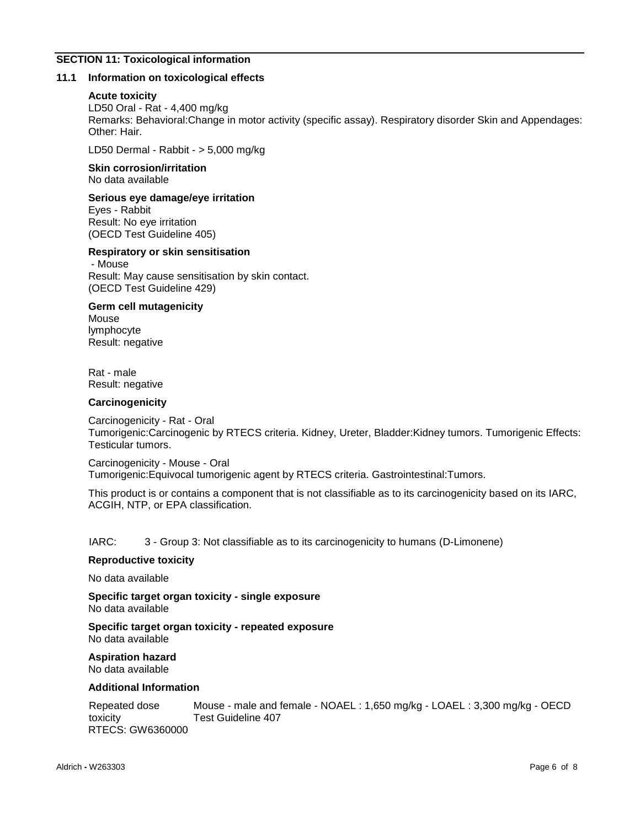# **SECTION 11: Toxicological information**

#### **11.1 Information on toxicological effects**

#### **Acute toxicity**

LD50 Oral - Rat - 4,400 mg/kg Remarks: Behavioral:Change in motor activity (specific assay). Respiratory disorder Skin and Appendages: Other: Hair.

LD50 Dermal - Rabbit - > 5,000 mg/kg

**Skin corrosion/irritation** No data available

# **Serious eye damage/eye irritation**

Eyes - Rabbit Result: No eye irritation (OECD Test Guideline 405)

### **Respiratory or skin sensitisation**

- Mouse Result: May cause sensitisation by skin contact. (OECD Test Guideline 429)

#### **Germ cell mutagenicity**

Mouse lymphocyte Result: negative

Rat - male Result: negative

#### **Carcinogenicity**

Carcinogenicity - Rat - Oral Tumorigenic:Carcinogenic by RTECS criteria. Kidney, Ureter, Bladder:Kidney tumors. Tumorigenic Effects: Testicular tumors.

Carcinogenicity - Mouse - Oral Tumorigenic:Equivocal tumorigenic agent by RTECS criteria. Gastrointestinal:Tumors.

This product is or contains a component that is not classifiable as to its carcinogenicity based on its IARC, ACGIH, NTP, or EPA classification.

IARC: 3 - Group 3: Not classifiable as to its carcinogenicity to humans (D-Limonene)

#### **Reproductive toxicity**

No data available

**Specific target organ toxicity - single exposure** No data available

**Specific target organ toxicity - repeated exposure** No data available

**Aspiration hazard** No data available

#### **Additional Information**

| Repeated dose    | Mouse - male and female - NOAEL: 1,650 mg/kg - LOAEL: 3,300 mg/kg - OECD |
|------------------|--------------------------------------------------------------------------|
| toxicity         | Test Guideline 407                                                       |
| RTECS: GW6360000 |                                                                          |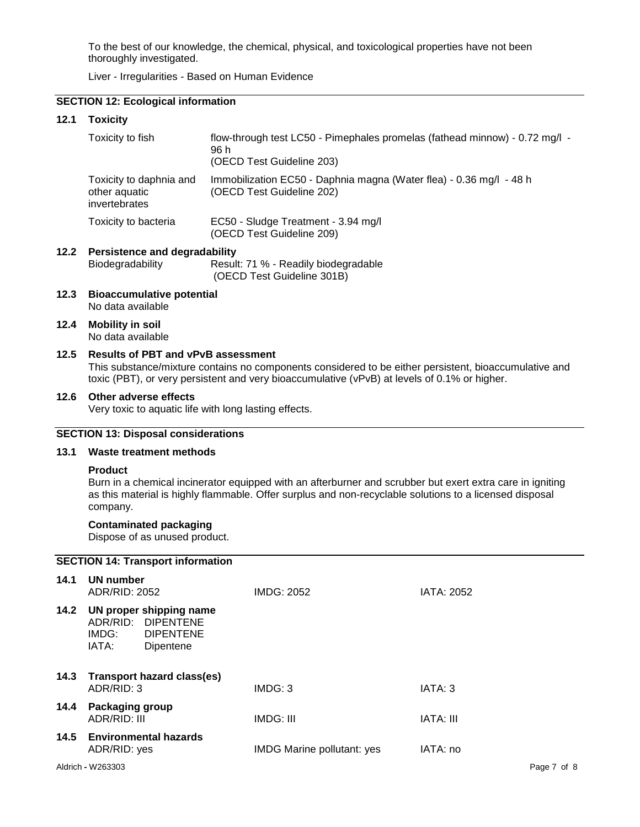To the best of our knowledge, the chemical, physical, and toxicological properties have not been thoroughly investigated.

Liver - Irregularities - Based on Human Evidence

# **SECTION 12: Ecological information**

#### **12.1 Toxicity**

| Toxicity to fish                                          | flow-through test LC50 - Pimephales promelas (fathead minnow) - 0.72 mg/l -<br>96 h<br>(OECD Test Guideline 203) |
|-----------------------------------------------------------|------------------------------------------------------------------------------------------------------------------|
| Toxicity to daphnia and<br>other aquatic<br>invertebrates | Immobilization EC50 - Daphnia magna (Water flea) - 0.36 mg/l - 48 h<br>(OECD Test Guideline 202)                 |
| Toxicity to bacteria                                      | EC50 - Sludge Treatment - 3.94 mg/l<br>(OECD Test Guideline 209)                                                 |

#### **12.2 Persistence and degradability** Biodegradability Result: 71 % - Readily biodegradable (OECD Test Guideline 301B)

- **12.3 Bioaccumulative potential** No data available
- **12.4 Mobility in soil**

No data available

# **12.5 Results of PBT and vPvB assessment**

This substance/mixture contains no components considered to be either persistent, bioaccumulative and toxic (PBT), or very persistent and very bioaccumulative (vPvB) at levels of 0.1% or higher.

#### **12.6 Other adverse effects**

Very toxic to aquatic life with long lasting effects.

# **SECTION 13: Disposal considerations**

# **13.1 Waste treatment methods**

#### **Product**

Burn in a chemical incinerator equipped with an afterburner and scrubber but exert extra care in igniting as this material is highly flammable. Offer surplus and non-recyclable solutions to a licensed disposal company.

## **Contaminated packaging**

Dispose of as unused product.

# Aldrich **-** W263303 Page 7 of 8 **SECTION 14: Transport information 14.1 UN number** ADR/RID: 2052 IMDG: 2052 IATA: 2052 **14.2 UN proper shipping name** ADR/RID: DIPENTENE IMDG: DIPENTENE IATA: Dipentene **14.3 Transport hazard class(es)** ADR/RID: 3 IMDG: 3 IATA: 3 **14.4 Packaging group** ADR/RID: III IMDG: III IATA: III **14.5 Environmental hazards** ADR/RID: yes **IMDG** Marine pollutant: yes IATA: no